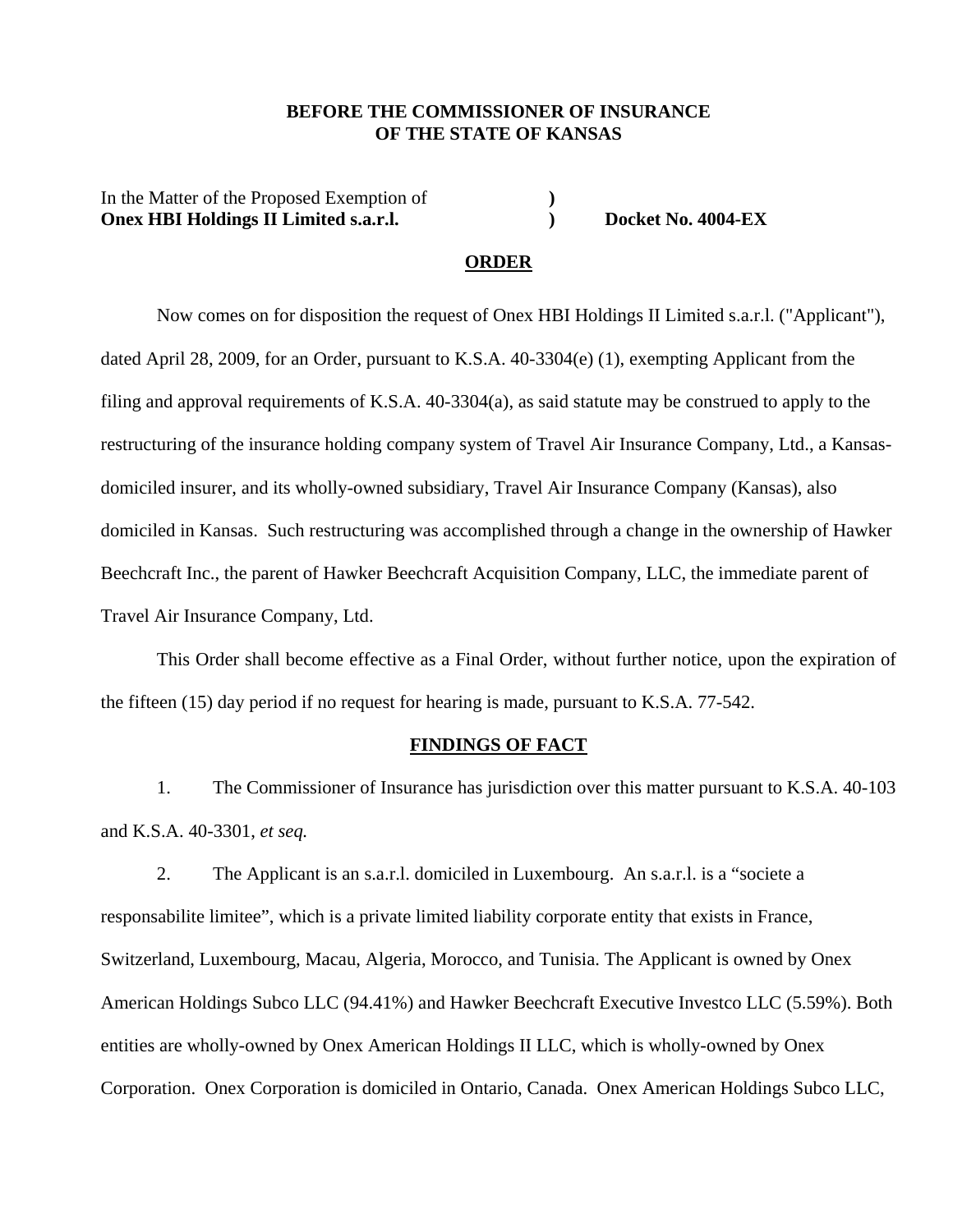### **BEFORE THE COMMISSIONER OF INSURANCE OF THE STATE OF KANSAS**

In the Matter of the Proposed Exemption of  $\overrightarrow{O}$  (**)**  $\overrightarrow{O}$  (**)**  $\overrightarrow{O}$  (**)**  $\overrightarrow{O}$ **Onex HBI Holdings II Limited s.a.r.l.** Docket No. 4004-EX

#### **ORDER**

Now comes on for disposition the request of Onex HBI Holdings II Limited s.a.r.l. ("Applicant"), dated April 28, 2009, for an Order, pursuant to K.S.A. 40-3304(e) (1), exempting Applicant from the filing and approval requirements of K.S.A. 40-3304(a), as said statute may be construed to apply to the restructuring of the insurance holding company system of Travel Air Insurance Company, Ltd., a Kansasdomiciled insurer, and its wholly-owned subsidiary, Travel Air Insurance Company (Kansas), also domiciled in Kansas. Such restructuring was accomplished through a change in the ownership of Hawker Beechcraft Inc., the parent of Hawker Beechcraft Acquisition Company, LLC, the immediate parent of Travel Air Insurance Company, Ltd.

This Order shall become effective as a Final Order, without further notice, upon the expiration of the fifteen (15) day period if no request for hearing is made, pursuant to K.S.A. 77-542.

### **FINDINGS OF FACT**

 1. The Commissioner of Insurance has jurisdiction over this matter pursuant to K.S.A. 40-103 and K.S.A. 40-3301, *et seq.* 

 2. The Applicant is an s.a.r.l. domiciled in Luxembourg. An s.a.r.l. is a "societe a responsabilite limitee", which is a private limited liability corporate entity that exists in France, Switzerland, Luxembourg, Macau, Algeria, Morocco, and Tunisia. The Applicant is owned by Onex American Holdings Subco LLC (94.41%) and Hawker Beechcraft Executive Investco LLC (5.59%). Both entities are wholly-owned by Onex American Holdings II LLC, which is wholly-owned by Onex Corporation. Onex Corporation is domiciled in Ontario, Canada. Onex American Holdings Subco LLC,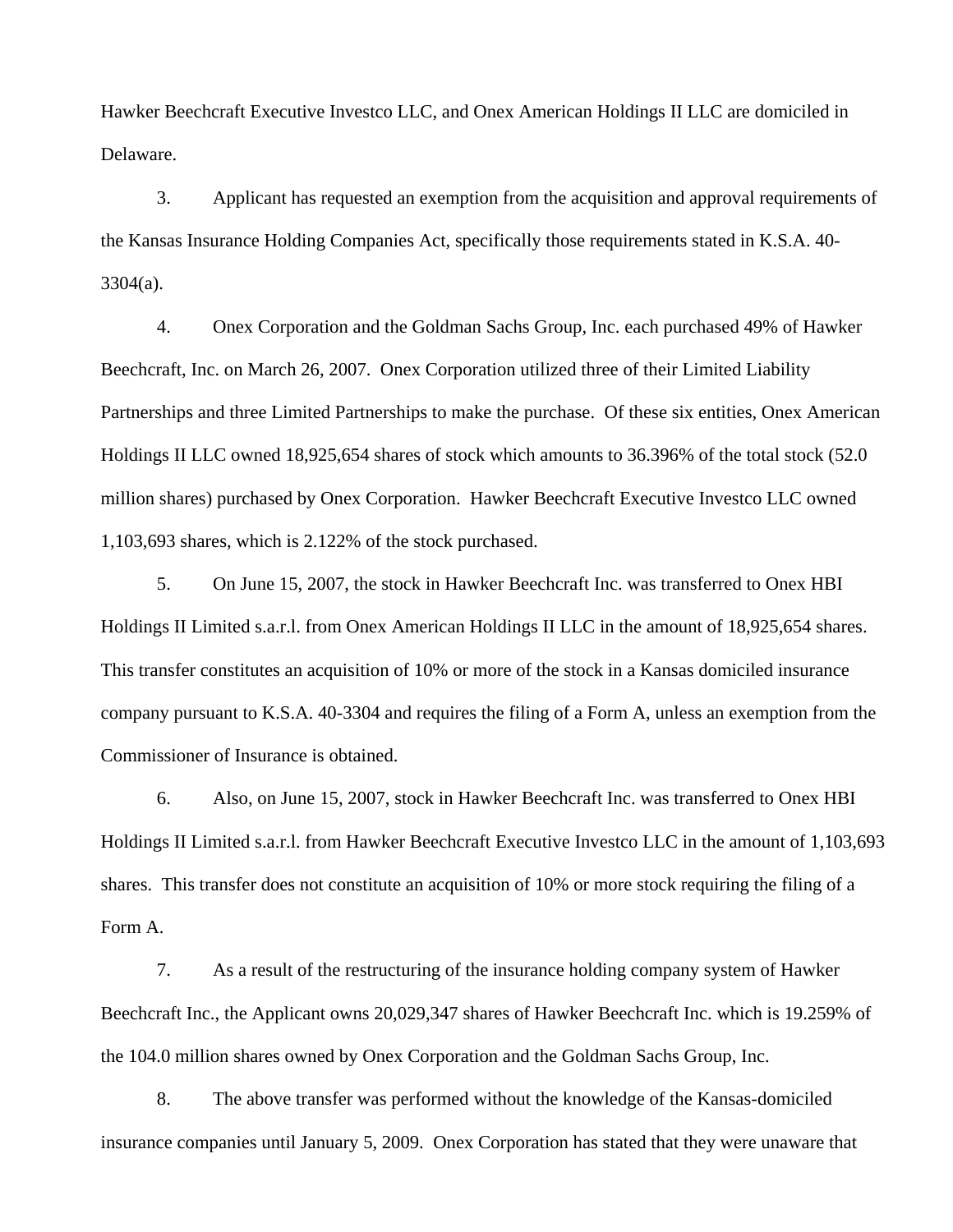Hawker Beechcraft Executive Investco LLC, and Onex American Holdings II LLC are domiciled in Delaware.

 3. Applicant has requested an exemption from the acquisition and approval requirements of the Kansas Insurance Holding Companies Act, specifically those requirements stated in K.S.A. 40- 3304(a).

 4. Onex Corporation and the Goldman Sachs Group, Inc. each purchased 49% of Hawker Beechcraft, Inc. on March 26, 2007. Onex Corporation utilized three of their Limited Liability Partnerships and three Limited Partnerships to make the purchase. Of these six entities, Onex American Holdings II LLC owned 18,925,654 shares of stock which amounts to 36.396% of the total stock (52.0 million shares) purchased by Onex Corporation. Hawker Beechcraft Executive Investco LLC owned 1,103,693 shares, which is 2.122% of the stock purchased.

 5. On June 15, 2007, the stock in Hawker Beechcraft Inc. was transferred to Onex HBI Holdings II Limited s.a.r.l. from Onex American Holdings II LLC in the amount of 18,925,654 shares. This transfer constitutes an acquisition of 10% or more of the stock in a Kansas domiciled insurance company pursuant to K.S.A. 40-3304 and requires the filing of a Form A, unless an exemption from the Commissioner of Insurance is obtained.

 6. Also, on June 15, 2007, stock in Hawker Beechcraft Inc. was transferred to Onex HBI Holdings II Limited s.a.r.l. from Hawker Beechcraft Executive Investco LLC in the amount of 1,103,693 shares. This transfer does not constitute an acquisition of 10% or more stock requiring the filing of a Form A.

 7. As a result of the restructuring of the insurance holding company system of Hawker Beechcraft Inc., the Applicant owns 20,029,347 shares of Hawker Beechcraft Inc. which is 19.259% of the 104.0 million shares owned by Onex Corporation and the Goldman Sachs Group, Inc.

 8. The above transfer was performed without the knowledge of the Kansas-domiciled insurance companies until January 5, 2009. Onex Corporation has stated that they were unaware that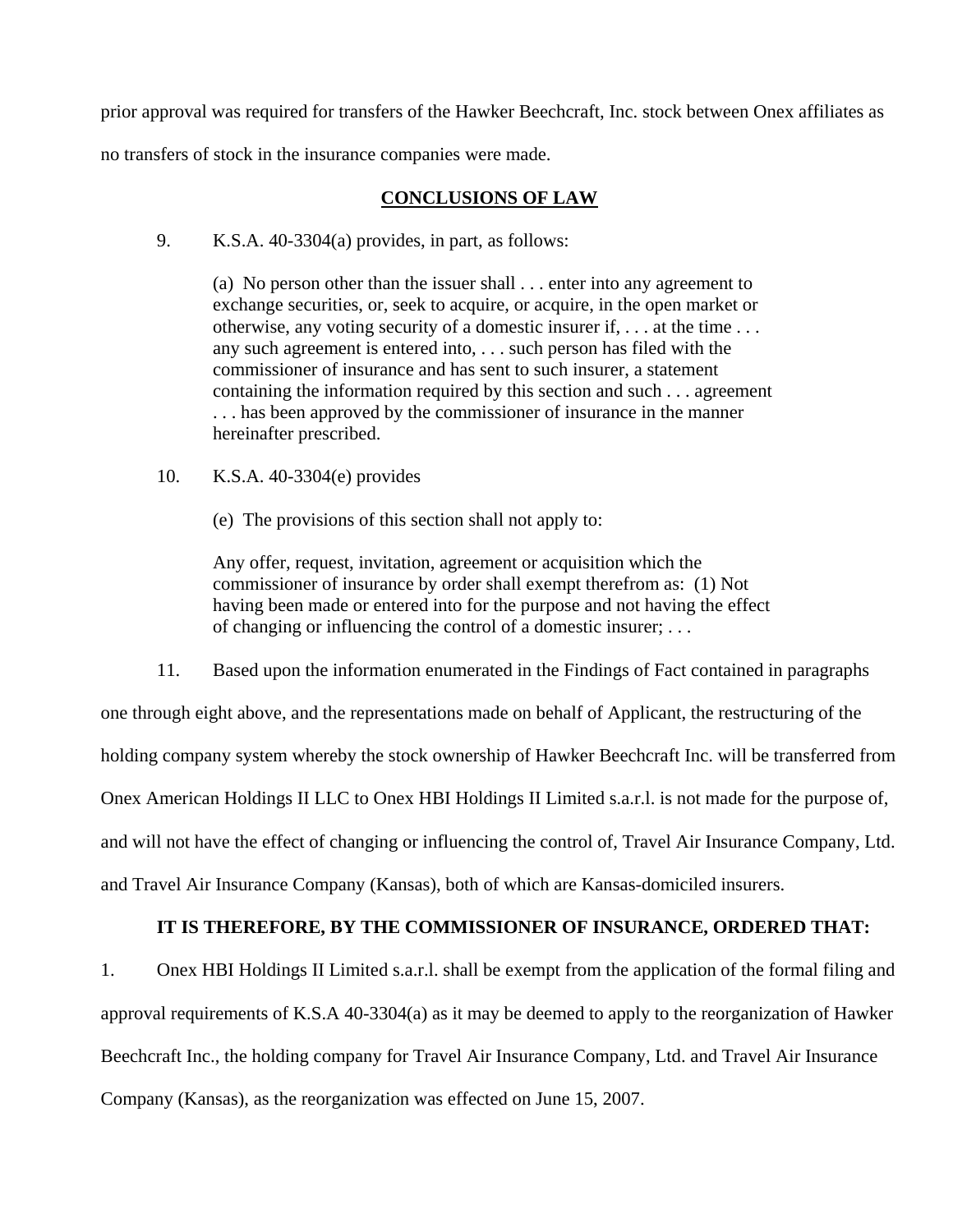prior approval was required for transfers of the Hawker Beechcraft, Inc. stock between Onex affiliates as no transfers of stock in the insurance companies were made.

### **CONCLUSIONS OF LAW**

9. K.S.A. 40-3304(a) provides, in part, as follows:

 (a) No person other than the issuer shall . . . enter into any agreement to exchange securities, or, seek to acquire, or acquire, in the open market or otherwise, any voting security of a domestic insurer if, . . . at the time . . . any such agreement is entered into, . . . such person has filed with the commissioner of insurance and has sent to such insurer, a statement containing the information required by this section and such . . . agreement . . . has been approved by the commissioner of insurance in the manner hereinafter prescribed.

- 10. K.S.A. 40-3304(e) provides
	- (e) The provisions of this section shall not apply to:

Any offer, request, invitation, agreement or acquisition which the commissioner of insurance by order shall exempt therefrom as: (1) Not having been made or entered into for the purpose and not having the effect of changing or influencing the control of a domestic insurer; . . .

 11. Based upon the information enumerated in the Findings of Fact contained in paragraphs one through eight above, and the representations made on behalf of Applicant, the restructuring of the holding company system whereby the stock ownership of Hawker Beechcraft Inc. will be transferred from Onex American Holdings II LLC to Onex HBI Holdings II Limited s.a.r.l. is not made for the purpose of, and will not have the effect of changing or influencing the control of, Travel Air Insurance Company, Ltd. and Travel Air Insurance Company (Kansas), both of which are Kansas-domiciled insurers.

## **IT IS THEREFORE, BY THE COMMISSIONER OF INSURANCE, ORDERED THAT:**

1. Onex HBI Holdings II Limited s.a.r.l. shall be exempt from the application of the formal filing and approval requirements of K.S.A 40-3304(a) as it may be deemed to apply to the reorganization of Hawker Beechcraft Inc., the holding company for Travel Air Insurance Company, Ltd. and Travel Air Insurance Company (Kansas), as the reorganization was effected on June 15, 2007.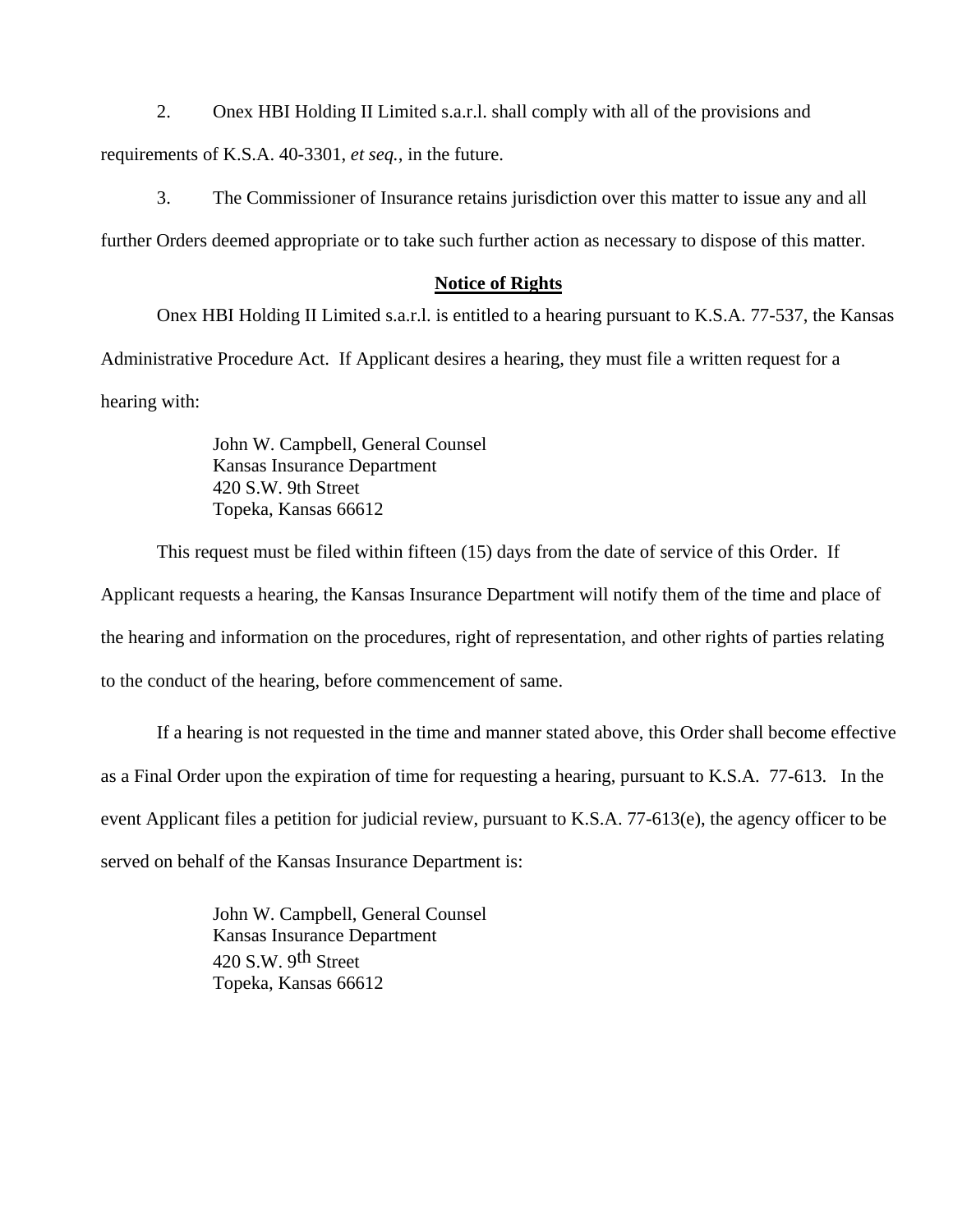2. Onex HBI Holding II Limited s.a.r.l. shall comply with all of the provisions and

requirements of K.S.A. 40-3301, *et seq.,* in the future.

 3. The Commissioner of Insurance retains jurisdiction over this matter to issue any and all further Orders deemed appropriate or to take such further action as necessary to dispose of this matter.

### **Notice of Rights**

 Onex HBI Holding II Limited s.a.r.l. is entitled to a hearing pursuant to K.S.A. 77-537, the Kansas Administrative Procedure Act. If Applicant desires a hearing, they must file a written request for a hearing with:

> John W. Campbell, General Counsel Kansas Insurance Department 420 S.W. 9th Street Topeka, Kansas 66612

 This request must be filed within fifteen (15) days from the date of service of this Order. If Applicant requests a hearing, the Kansas Insurance Department will notify them of the time and place of the hearing and information on the procedures, right of representation, and other rights of parties relating to the conduct of the hearing, before commencement of same.

If a hearing is not requested in the time and manner stated above, this Order shall become effective as a Final Order upon the expiration of time for requesting a hearing, pursuant to K.S.A. 77-613. In the event Applicant files a petition for judicial review, pursuant to K.S.A. 77-613(e), the agency officer to be served on behalf of the Kansas Insurance Department is:

> John W. Campbell, General Counsel Kansas Insurance Department 420 S.W. 9th Street Topeka, Kansas 66612